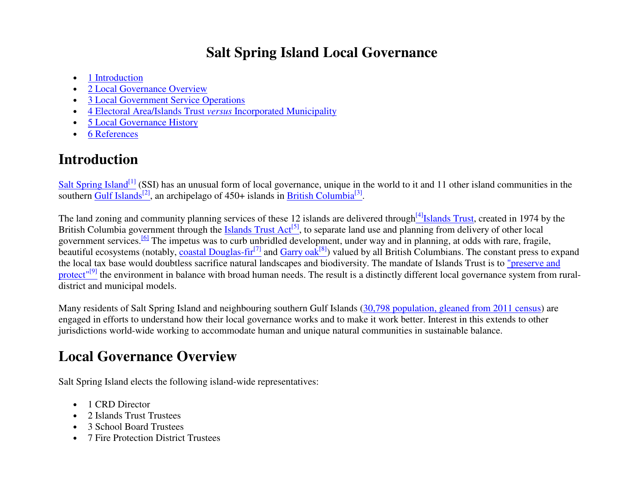## **Salt Spring Island Local Governance**

- 1 Introduction
- 2 Local Governance Overview
- 3 Local Government Service Operations
- 4 Electoral Area/Islands Trust *versus* Incorporated Municipality
- 5 Local Governance History
- 6 References

## **Introduction**

Salt Spring Island<sup>[1]</sup> (SSI) has an unusual form of local governance, unique in the world to it and 11 other island communities in the southern Gulf Islands<sup>[2]</sup>, an archipelago of 450+ islands in British Columbia<sup>[3]</sup>.

The land zoning and community planning services of these 12 islands are delivered through<sup>[4]</sup>Islands Trust, created in 1974 by the British Columbia government through the Islands Trust  $Act^{[5]}$ , to separate land use and planning from delivery of other local government services.<sup>[6]</sup> The impetus was to curb unbridled development, under way and in planning, at odds with rare, fragile, beautiful ecosystems (notably, coastal Douglas-fir<sup>[7]</sup> and Garry oak<sup>[8]</sup>) valued by all British Columbians. The constant press to expand the local tax base would doubtless sacrifice natural landscapes and biodiversity. The mandate of Islands Trust is to "preserve and protect"<sup>[9]</sup> the environment in balance with broad human needs. The result is a distinctly different local governance system from ruraldistrict and municipal models.

Many residents of Salt Spring Island and neighbouring southern Gulf Islands (30,798 population, gleaned from 2011 census) are engaged in efforts to understand how their local governance works and to make it work better. Interest in this extends to other jurisdictions world-wide working to accommodate human and unique natural communities in sustainable balance.

# **Local Governance Overview**

Salt Spring Island elects the following island-wide representatives:

- 1 CRD Director
- 2 Islands Trust Trustees
- 3 School Board Trustees
- 7 Fire Protection District Trustees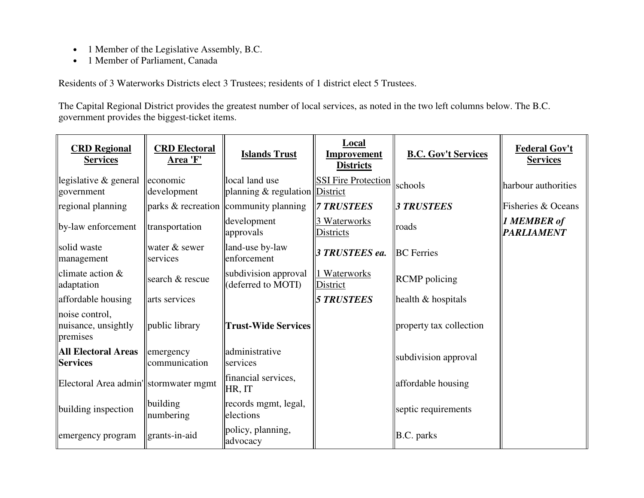- 1 Member of the Legislative Assembly, B.C.
- 1 Member of Parliament, Canada

Residents of 3 Waterworks Districts elect 3 Trustees; residents of 1 district elect 5 Trustees.

The Capital Regional District provides the greatest number of local services, as noted in the two left columns below. The B.C. government provides the biggest-ticket items.

| <b>CRD</b> Regional<br><b>Services</b>            | <b>CRD Electoral</b><br>Area 'F' | <b>Islands Trust</b>                            | Local<br>Improvement<br><b>Districts</b> | <b>B.C. Gov't Services</b>     | <b>Federal Gov't</b><br><b>Services</b> |
|---------------------------------------------------|----------------------------------|-------------------------------------------------|------------------------------------------|--------------------------------|-----------------------------------------|
| legislative $\&$ general<br>government            | economic<br>development          | local land use<br>planning $&$ regulation       | <b>SSI Fire Protection</b><br>District   | schools                        | harbour authorities                     |
| regional planning                                 |                                  | $\ $ parks & recreation $\ $ community planning | <b>7 TRUSTEES</b>                        | <b>3 TRUSTEES</b>              | Fisheries & Oceans                      |
| by-law enforcement                                | transportation                   | development<br>approvals                        | 3 Waterworks<br>Districts                | roads                          | <b>1 MEMBER of</b><br><b>PARLIAMENT</b> |
| solid waste<br>management                         | water & sewer<br>services        | land-use by-law<br>enforcement                  | 3 TRUSTEES ea.                           | <b>BC</b> Ferries              |                                         |
| climate action $&$<br>adaptation                  | search & rescue                  | subdivision approval<br>(deferred to MOTI)      | 1 Waterworks<br>District                 | <b>RCMP</b> policing           |                                         |
| affordable housing                                | arts services                    |                                                 | <b>5 TRUSTEES</b>                        | $\parallel$ health & hospitals |                                         |
| noise control,<br>nuisance, unsightly<br>premises | public library                   | <b>Trust-Wide Services</b>                      |                                          | property tax collection        |                                         |
| All Electoral Areas<br><b>Services</b>            | emergency<br>communication       | administrative<br>services                      |                                          | subdivision approval           |                                         |
| Electoral Area admin'  stormwater mgmt            |                                  | financial services,<br>HR, IT                   |                                          | affordable housing             |                                         |
| building inspection                               | building<br>numbering            | records mgmt, legal,<br>elections               |                                          | septic requirements            |                                         |
| emergency program                                 | grants-in-aid                    | policy, planning,<br>advocacy                   |                                          | <b>B.C.</b> parks              |                                         |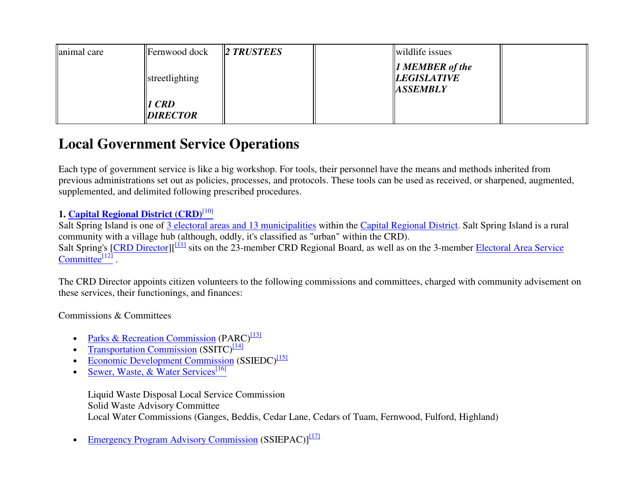| animal care | <b>Fernwood</b> dock     | $\ 2$ TRUSTEES | wildlife issues                                                             |  |
|-------------|--------------------------|----------------|-----------------------------------------------------------------------------|--|
|             | streetlighting           |                | $\parallel$ <i>I MEMBER of the</i><br><i>LEGISLATIVE</i><br><b>ASSEMBLY</b> |  |
|             | 1 CRD<br><b>DIRECTOR</b> |                |                                                                             |  |

## **Local Government Service Operations**

Each type of government service is like a big workshop. For tools, their personnel have the means and methods inherited from previous administrations set out as policies, processes, and protocols. These tools can be used as received, or sharpened, augmented, supplemented, and delimited following prescribed procedures.

### **1. Capital Regional District (CRD)**[10]

Salt Spring Island is one of 3 electoral areas and 13 municipalities within the Capital Regional District. Salt Spring Island is a rural community with a village hub (although, oddly, it's classified as "urban" within the CRD). Salt Spring's [CRD Director][<sup>[11]</sup> sits on the 23-member CRD Regional Board, as well as on the 3-member Electoral Area Service Committee $[12]$ .

The CRD Director appoints citizen volunteers to the following commissions and committees, charged with community advisement on these services, their functionings, and finances:

### Commissions & Committees

- Parks & Recreation Commission (PARC)<sup>[13]</sup>
- Transportation Commission  $(SSTTC)^{[14]}$
- Economic Development Commission (SSIEDC)<sup>[15]</sup>
- Sewer, Waste, & Water Services<sup>[16]</sup>

Liquid Waste Disposal Local Service Commission Solid Waste Advisory Committee Local Water Commissions (Ganges, Beddis, Cedar Lane, Cedars of Tuam, Fernwood, Fulford, Highland)

• Emergency Program Advisory Commission (SSIEPAC)]<sup>[17]</sup>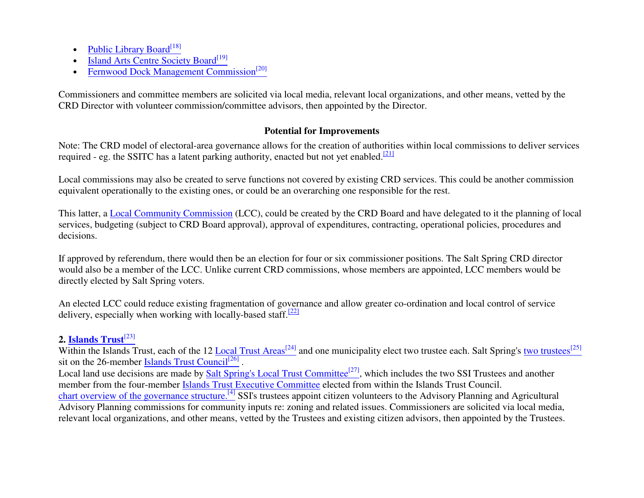- Public Library Board<sup>[18]</sup>
- Island Arts Centre Society Board<sup>[19]</sup>
- Fernwood Dock Management Commission<sup>[20]</sup>

Commissioners and committee members are solicited via local media, relevant local organizations, and other means, vetted by the CRD Director with volunteer commission/committee advisors, then appointed by the Director.

### **Potential for Improvements**

Note: The CRD model of electoral-area governance allows for the creation of authorities within local commissions to deliver services required - eg. the SSITC has a latent parking authority, enacted but not yet enabled.<sup>[21]</sup>

Local commissions may also be created to serve functions not covered by existing CRD services. This could be another commission equivalent operationally to the existing ones, or could be an overarching one responsible for the rest.

This latter, a **Local Community Commission** (LCC), could be created by the CRD Board and have delegated to it the planning of local services, budgeting (subject to CRD Board approval), approval of expenditures, contracting, operational policies, procedures and decisions.

If approved by referendum, there would then be an election for four or six commissioner positions. The Salt Spring CRD director would also be a member of the LCC. Unlike current CRD commissions, whose members are appointed, LCC members would be directly elected by Salt Spring voters.

An elected LCC could reduce existing fragmentation of governance and allow greater co-ordination and local control of service delivery, especially when working with locally-based staff.<sup>[22]</sup>

### **2. Islands Trust**[23]

Within the Islands Trust, each of the 12 Local Trust Areas<sup>[24]</sup> and one municipality elect two trustee each. Salt Spring's two trustees<sup>[25]</sup> sit on the 26-member Islands Trust Council<sup>[26]</sup>

Local land use decisions are made by Salt Spring's Local Trust Committee<sup>[27]</sup>, which includes the two SSI Trustees and another member from the four-member Islands Trust Executive Committee elected from within the Islands Trust Council. chart overview of the governance structure.<sup>[4]</sup> SSI's trustees appoint citizen volunteers to the Advisory Planning and Agricultural Advisory Planning commissions for community inputs re: zoning and related issues. Commissioners are solicited via local media, relevant local organizations, and other means, vetted by the Trustees and existing citizen advisors, then appointed by the Trustees.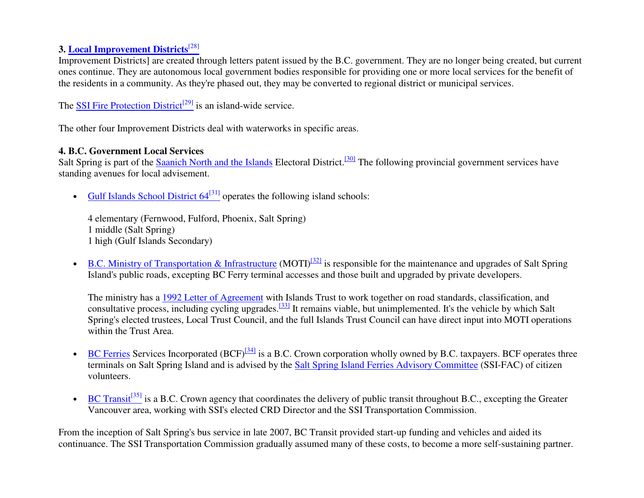#### **3. Local Improvement Districts**[28]

Improvement Districts] are created through letters patent issued by the B.C. government. They are no longer being created, but current ones continue. They are autonomous local government bodies responsible for providing one or more local services for the benefit of the residents in a community. As they're phased out, they may be converted to regional district or municipal services.

The SSI Fire Protection District<sup>[29]</sup> is an island-wide service.

The other four Improvement Districts deal with waterworks in specific areas.

#### **4. B.C. Government Local Services**

Salt Spring is part of the **Saanich North and the Islands** Electoral District.<sup>[30]</sup> The following provincial government services have standing avenues for local advisement.

• Gulf Islands School District  $64^{[31]}$  operates the following island schools:

4 elementary (Fernwood, Fulford, Phoenix, Salt Spring) 1 middle (Salt Spring) 1 high (Gulf Islands Secondary)

• B.C. Ministry of Transportation & Infrastructure (MOTI)<sup>[32]</sup> is responsible for the maintenance and upgrades of Salt Spring Island's public roads, excepting BC Ferry terminal accesses and those built and upgraded by private developers.

The ministry has a 1992 Letter of Agreement with Islands Trust to work together on road standards, classification, and consultative process, including cycling upgrades.<sup>[33]</sup> It remains viable, but unimplemented. It's the vehicle by which Salt Spring's elected trustees, Local Trust Council, and the full Islands Trust Council can have direct input into MOTI operations within the Trust Area.

- BC Ferries Services Incorporated (BCF) $^{[34]}$  is a B.C. Crown corporation wholly owned by B.C. taxpayers. BCF operates three terminals on Salt Spring Island and is advised by the Salt Spring Island Ferries Advisory Committee (SSI-FAC) of citizen volunteers.
- BC Transit<sup>[35]</sup> is a B.C. Crown agency that coordinates the delivery of public transit throughout B.C., excepting the Greater Vancouver area, working with SSI's elected CRD Director and the SSI Transportation Commission.

From the inception of Salt Spring's bus service in late 2007, BC Transit provided start-up funding and vehicles and aided its continuance. The SSI Transportation Commission gradually assumed many of these costs, to become a more self-sustaining partner.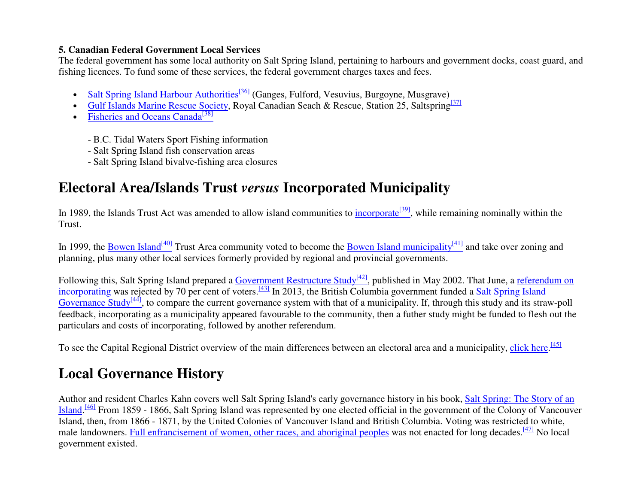### **5. Canadian Federal Government Local Services**

 The federal government has some local authority on Salt Spring Island, pertaining to harbours and government docks, coast guard, and fishing licences. To fund some of these services, the federal government charges taxes and fees.

- Salt Spring Island Harbour Authorities<sup>[36]</sup> (Ganges, Fulford, Vesuvius, Burgoyne, Musgrave)
- Gulf Islands Marine Rescue Society, Royal Canadian Seach & Rescue, Station 25, Saltspring<sup>[37]</sup>
- Fisheries and Oceans Canada<sup>[38]</sup>
	- B.C. Tidal Waters Sport Fishing information
	- Salt Spring Island fish conservation areas
	- Salt Spring Island bivalve-fishing area closures

# **Electoral Area/Islands Trust** *versus* **Incorporated Municipality**

In 1989, the Islands Trust Act was amended to allow island communities to incorporate<sup>[39]</sup>, while remaining nominally within the Trust.

In 1999, the Bowen Island<sup>[40]</sup> Trust Area community voted to become the Bowen Island municipality<sup>[41]</sup> and take over zoning and planning, plus many other local services formerly provided by regional and provincial governments.

Following this, Salt Spring Island prepared a <u>Government Restructure Study<sup>[42]</sup></u>, published in May 2002. That June, a <u>referendum on</u><br>incorporating was rejected by 70 per cent of voters.<sup>[43]</sup> In 2013, the British Columb Governance Study<sup>[44]</sup>, to compare the current governance system with that of a municipality. If, through this study and its straw-poll feedback, incorporating as a municipality appeared favourable to the community, then a futher study might be funded to flesh out the particulars and costs of incorporating, followed by another referendum.

To see the Capital Regional District overview of the main differences between an electoral area and a municipality, click here.<sup>[45]</sup>

# **Local Governance History**

Author and resident Charles Kahn covers well Salt Spring Island's early governance history in his book, Salt Spring: The Story of an Island.<sup>[46]</sup> From 1859 - 1866, Salt Spring Island was represented by one elected official in the government of the Colony of Vancouver Island, then, from 1866 - 1871, by the United Colonies of Vancouver Island and British Columbia. Voting was restricted to white, male landowners. Full enfrancisement of women, other races, and aboriginal peoples was not enacted for long decades.<sup>[47]</sup> No local government existed.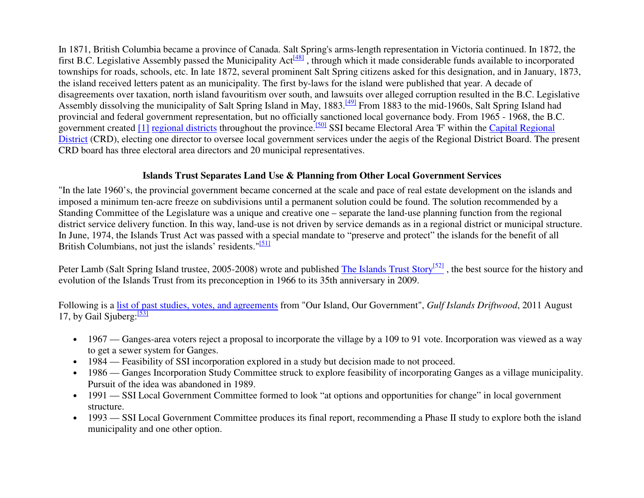In 1871, British Columbia became a province of Canada. Salt Spring's arms-length representation in Victoria continued. In 1872, the first B.C. Legislative Assembly passed the Municipality Act $\frac{481}{ }$ , through which it made considerable funds available to incorporated townships for roads, schools, etc. In late 1872, several prominent Salt Spring citizens asked for this designation, and in January, 1873, the island received letters patent as an municipality. The first by-laws for the island were published that year. A decade of disagreements over taxation, north island favouritism over south, and lawsuits over alleged corruption resulted in the B.C. Legislative Assembly dissolving the municipality of Salt Spring Island in May, 1883.<sup>[49]</sup> From 1883 to the mid-1960s, Salt Spring Island had provincial and federal government representation, but no officially sanctioned local governance body. From 1965 - 1968, the B.C. government created [1] regional districts throughout the province.<sup>[50]</sup> SSI became Electoral Area 'F' within the *Capital Regional* District (CRD), electing one director to oversee local government services under the aegis of the Regional District Board. The present CRD board has three electoral area directors and 20 municipal representatives.

#### **Islands Trust Separates Land Use & Planning from Other Local Government Services**

"In the late 1960's, the provincial government became concerned at the scale and pace of real estate development on the islands and imposed a minimum ten-acre freeze on subdivisions until a permanent solution could be found. The solution recommended by a Standing Committee of the Legislature was a unique and creative one – separate the land-use planning function from the regional district service delivery function. In this way, land-use is not driven by service demands as in a regional district or municipal structure. In June, 1974, the Islands Trust Act was passed with a special mandate to "preserve and protect" the islands for the benefit of all British Columbians, not just the islands' residents."<sup>[51]</sup>

Peter Lamb (Salt Spring Island trustee, 2005-2008) wrote and published The Islands Trust Story<sup>[52]</sup>, the best source for the history and evolution of the Islands Trust from its preconception in 1966 to its 35th anniversary in 2009.

Following is a list of past studies, votes, and agreements from "Our Island, Our Government", *Gulf Islands Driftwood*, 2011 August 17, by Gail Siuberg: $\frac{531}{2}$ 

- 1967 Ganges-area voters reject a proposal to incorporate the village by a 109 to 91 vote. Incorporation was viewed as a way to get a sewer system for Ganges.
- 1984 Feasibility of SSI incorporation explored in a study but decision made to not proceed.
- 1986 Ganges Incorporation Study Committee struck to explore feasibility of incorporating Ganges as a village municipality. Pursuit of the idea was abandoned in 1989.
- 1991 SSI Local Government Committee formed to look "at options and opportunities for change" in local government structure.
- 1993 SSI Local Government Committee produces its final report, recommending a Phase II study to explore both the island municipality and one other option.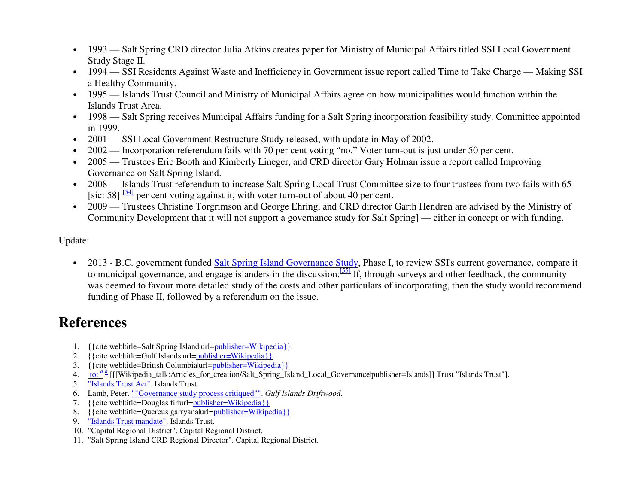- 1993 Salt Spring CRD director Julia Atkins creates paper for Ministry of Municipal Affairs titled SSI Local Government Study Stage II.
- 1994 SSI Residents Against Waste and Inefficiency in Government issue report called Time to Take Charge Making SSI a Healthy Community.
- 1995 Islands Trust Council and Ministry of Municipal Affairs agree on how municipalities would function within the Islands Trust Area.
- 1998 Salt Spring receives Municipal Affairs funding for a Salt Spring incorporation feasibility study. Committee appointed in 1999.
- 2001 SSI Local Government Restructure Study released, with update in May of 2002.
- 2002 Incorporation referendum fails with 70 per cent voting "no." Voter turn-out is just under 50 per cent.
- 2005 Trustees Eric Booth and Kimberly Lineger, and CRD director Gary Holman issue a report called Improving Governance on Salt Spring Island.
- 2008 Islands Trust referendum to increase Salt Spring Local Trust Committee size to four trustees from two fails with 65 [sic: 58]  $\frac{54}{154}$  per cent voting against it, with voter turn-out of about 40 per cent.
- 2009 Trustees Christine Torgrimson and George Ehring, and CRD director Garth Hendren are advised by the Ministry of Community Development that it will not support a governance study for Salt Spring] — either in concept or with funding.

#### Update:

• 2013 - B.C. government funded Salt Spring Island Governance Study, Phase I, to review SSI's current governance, compare it to municipal governance, and engage islanders in the discussion.<sup>[55]</sup> If, through surveys and other feedback, the community was deemed to favour more detailed study of the costs and other particulars of incorporating, then the study would recommend funding of Phase II, followed by a referendum on the issue.

## **References**

- 1. {{cite web|title=Salt Spring Island|url=publisher=Wikipedia}}
- 2. {{cite web|title=Gulf Islands|url=publisher=Wikipedia}}
- 3. {{cite web|title=British Columbia|url=publisher=Wikipedia}}
- 4. to: <sup>*a b*</sup> [[[Wikipedia\_talk:Articles\_for\_creation/Salt\_Spring\_Island\_Local\_Governance|publisher=Islands]] Trust "Islands Trust"].
- 5. "Islands Trust Act". Islands Trust.
- 6. Lamb, Peter. ""Governance study process critiqued"". *Gulf Islands Driftwood*.
- 7. {{cite web|title=Douglas fir|url=publisher=Wikipedia}}
- 8. {{cite web|title=Quercus garryana|url=publisher=Wikipedia}}
- 9. "Islands Trust mandate". Islands Trust.
- 10. "Capital Regional District". Capital Regional District.
- 11. "Salt Spring Island CRD Regional Director". Capital Regional District.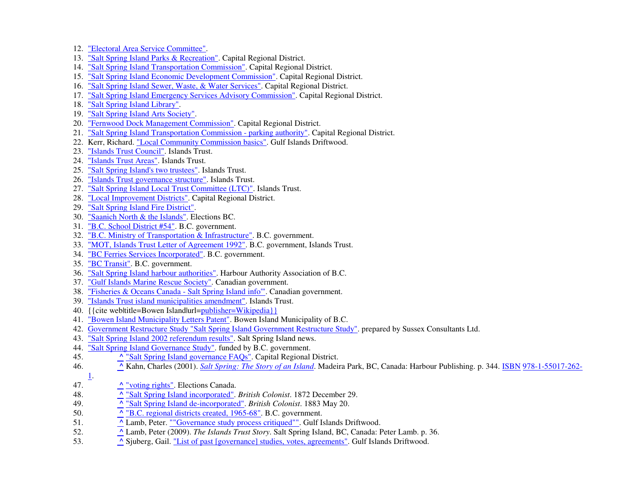- 12. "Electoral Area Service Committee".
- 13. "Salt Spring Island Parks & Recreation". Capital Regional District.
- 14. "Salt Spring Island Transportation Commission". Capital Regional District.
- 15. "Salt Spring Island Economic Development Commission". Capital Regional District.
- 16. "Salt Spring Island Sewer, Waste, & Water Services". Capital Regional District.
- 17. "Salt Spring Island Emergency Services Advisory Commission". Capital Regional District.
- 18. "Salt Spring Island Library".
- 19. "Salt Spring Island Arts Society".
- 20. The Ternwood Dock Management Commission". Capital Regional District.
- 21. "Salt Spring Island Transportation Commission parking authority". Capital Regional District.
- 22. Kerr, Richard. "Local Community Commission basics". Gulf Islands Driftwood.
- 23. "Islands Trust Council". Islands Trust.
- 24. "Islands Trust Areas". Islands Trust.
- 25. "Salt Spring Island's two trustees". Islands Trust.
- 26. "Islands Trust governance structure". Islands Trust.
- 27. "Salt Spring Island Local Trust Committee (LTC)". Islands Trust.
- 28. "Local Improvement Districts". Capital Regional District.
- 29. "Salt Spring Island Fire District".
- 30. "Saanich North & the Islands". Elections BC.
- 31. "B.C. School District #54". B.C. government.
- 32. "B.C. Ministry of Transportation & Infrastructure". B.C. government.
- 33. "MOT, Islands Trust Letter of Agreement 1992". B.C. government, Islands Trust.
- 34. "BC Ferries Services Incorporated". B.C. government.
- 35. "BC Transit". B.C. government.
- 36. "Salt Spring Island harbour authorities". Harbour Authority Association of B.C.
- 37. "Gulf Islands Marine Rescue Society". Canadian government.
- 38. "Fisheries & Oceans Canada Salt Spring Island info"". Canadian government.
- 39. "Islands Trust island municipalities amendment". Islands Trust.
- 40. {{cite web|title=Bowen Island|url=publisher=Wikipedia}}
- 41. <u>"Bowen Island Municipality Letters Patent"</u>. Bowen Island Municipality of B.C.
- 42. Government Restructure Study "Salt Spring Island Government Restructure Study". prepared by Sussex Consultants Ltd.
- 43. "Salt Spring Island 2002 referendum results". Salt Spring Island news.
- 44. "Salt Spring Island Governance Study". funded by B.C. government.
- "Salt Spring Island governance FAQs". Capital Regional District. 45. **^**
- 46. **^ ^** Kahn, Charles (2001). Salt Spring: The Story of an Island. Madeira Park, BC, Canada: Harbour Publishing. p. 344. ISBN 978-1-55017-262-
- 1.
- 47. **^**"voting rights". Elections Canada.
- 48. **^**"Salt Spring Island incorporated". *British Colonist*. 1872 December 29.
- 49. **^**"Salt Spring Island de-incorporated". *British Colonist*. 1883 May 20.
- 50. **^**<sup>^</sup> "B.C. regional districts created, 1965-68". B.C. government.
- 51. **^** Lamb, Peter. ""Governance study process critiqued"". Gulf Islands Driftwood.
- 52. **^** Lamb, Peter (2009). *The Islands Trust Story*. Salt Spring Island, BC, Canada: Peter Lamb. p. 36.
- 53. **^** Sjuberg, Gail. "List of past [governance] studies, votes, agreements". Gulf Islands Driftwood.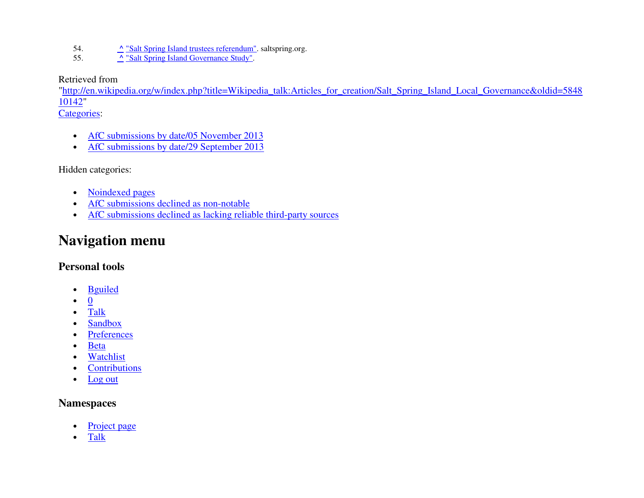- 54. **^**<u>"Salt Spring Island trustees referendum"</u>. saltspring.org.
- 55. **^**<sup>1</sup> "Salt Spring Island Governance Study".

Retrieved from

 "http://en.wikipedia.org/w/index.php?title=Wikipedia\_talk:Articles\_for\_creation/Salt\_Spring\_Island\_Local\_Governance&oldid=584810142"

Categories:

- AfC submissions by date/05 November 2013
- AfC submissions by date/29 September 2013

Hidden categories:

- Noindexed pages
- AfC submissions declined as non-notable
- AfC submissions declined as lacking reliable third-party sources

## **Navigation menu**

### **Personal tools**

- Bguiled
- 0
- Talk
- Sandbox
- Preferences
- Beta
- Watchlist
- **Contributions**
- Log out

## **Namespaces**

- Project page
- Talk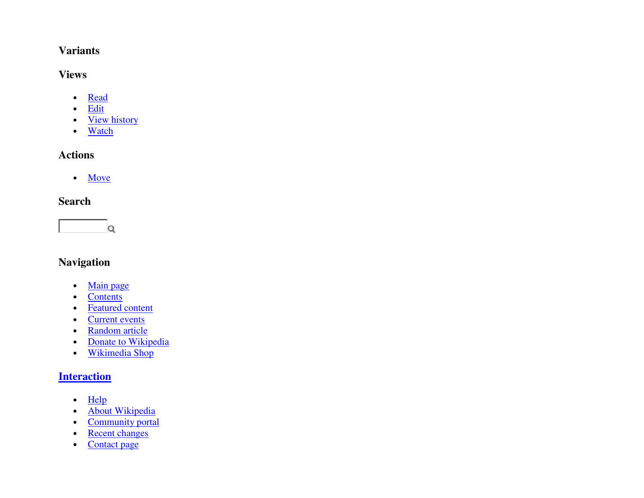### **Variants**

### **Views**

- Read
- Edit
- <u>View history</u>
- Watch

## **Actions**

• Move

## **Search**



## **Navigation**

- Main page
- Contents
- Featured content
- Current events
- Random article
- Donate to Wikipedia
- Wikimedia Shop

### **Interaction**

- Help
- About Wikipedia
- Community portal
- Recent changes
- Contact page